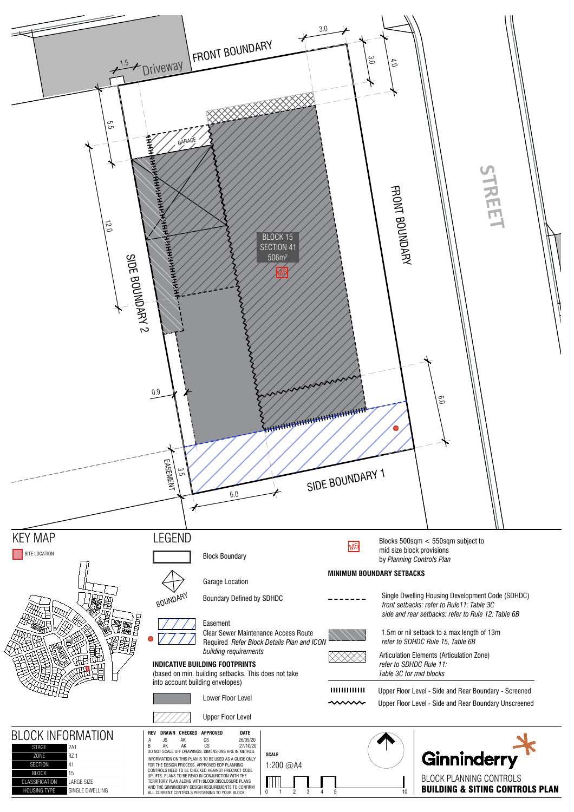